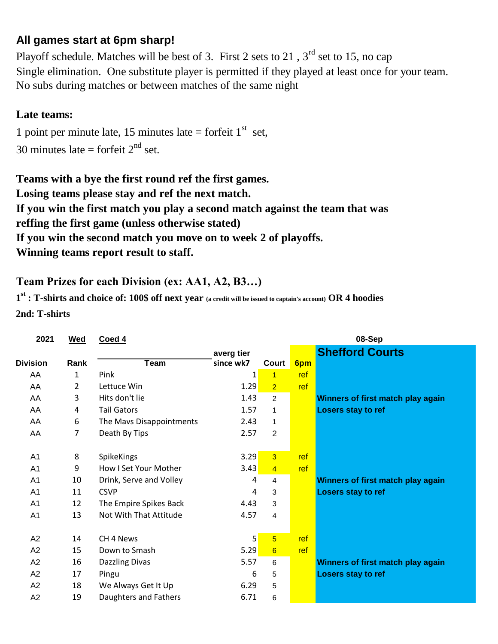## **All games start at 6pm sharp!**

No subs during matches or between matches of the same night Playoff schedule. Matches will be best of 3. First 2 sets to 21,  $3<sup>rd</sup>$  set to 15, no cap Single elimination. One substitute player is permitted if they played at least once for your team.

## **Late teams:**

30 minutes late = forfeit  $2<sup>nd</sup>$  set. 1 point per minute late, 15 minutes late = forfeit  $1<sup>st</sup>$  set,

**Winning teams report result to staff. Teams with a bye the first round ref the first games. Losing teams please stay and ref the next match. If you win the first match you play a second match against the team that was If you win the second match you move on to week 2 of playoffs. reffing the first game (unless otherwise stated)**

## **Team Prizes for each Division (ex: AA1, A2, B3…)**

**1 st : T-shirts and choice of: 100\$ off next year (a credit will be issued to captain's account) OR 4 hoodies 2nd: T-shirts**

| 2021            | <b>Wed</b> | Coed 4                   |            | 08-Sep          |     |                                   |  |  |  |
|-----------------|------------|--------------------------|------------|-----------------|-----|-----------------------------------|--|--|--|
|                 |            |                          | averg tier |                 |     | <b>Shefford Courts</b>            |  |  |  |
| <b>Division</b> | Rank       | Team                     | since wk7  | Court           | 6pm |                                   |  |  |  |
| AA              | 1          | Pink                     | 1          | $\mathbf{1}$    | ref |                                   |  |  |  |
| AA              | 2          | Lettuce Win              | 1.29       | $\overline{2}$  | ref |                                   |  |  |  |
| AA              | 3          | Hits don't lie           | 1.43       | $\overline{2}$  |     | Winners of first match play again |  |  |  |
| AA              | 4          | <b>Tail Gators</b>       | 1.57       | 1               |     | <b>Losers stay to ref</b>         |  |  |  |
| AA              | 6          | The Mavs Disappointments | 2.43       | $\mathbf{1}$    |     |                                   |  |  |  |
| AA              | 7          | Death By Tips            | 2.57       | 2               |     |                                   |  |  |  |
|                 |            |                          |            |                 |     |                                   |  |  |  |
| A <sub>1</sub>  | 8          | SpikeKings               | 3.29       | $\overline{3}$  | ref |                                   |  |  |  |
| A <sub>1</sub>  | 9          | How I Set Your Mother    | 3.43       | $\overline{4}$  | ref |                                   |  |  |  |
| A <sub>1</sub>  | 10         | Drink, Serve and Volley  | 4          | 4               |     | Winners of first match play again |  |  |  |
| A <sub>1</sub>  | 11         | <b>CSVP</b>              | 4          | 3               |     | Losers stay to ref                |  |  |  |
| A <sub>1</sub>  | 12         | The Empire Spikes Back   | 4.43       | 3               |     |                                   |  |  |  |
| A1              | 13         | Not With That Attitude   | 4.57       | 4               |     |                                   |  |  |  |
|                 |            |                          |            |                 |     |                                   |  |  |  |
| A2              | 14         | CH <sub>4</sub> News     | 5          | $5\phantom{.0}$ | ref |                                   |  |  |  |
| A2              | 15         | Down to Smash            | 5.29       | 6               | ref |                                   |  |  |  |
| A2              | 16         | <b>Dazzling Divas</b>    | 5.57       | 6               |     | Winners of first match play again |  |  |  |
| A2              | 17         | Pingu                    | 6          | 5               |     | <b>Losers stay to ref</b>         |  |  |  |
| A2              | 18         | We Always Get It Up      | 6.29       | 5               |     |                                   |  |  |  |
| A2              | 19         | Daughters and Fathers    | 6.71       | 6               |     |                                   |  |  |  |
|                 |            |                          |            |                 |     |                                   |  |  |  |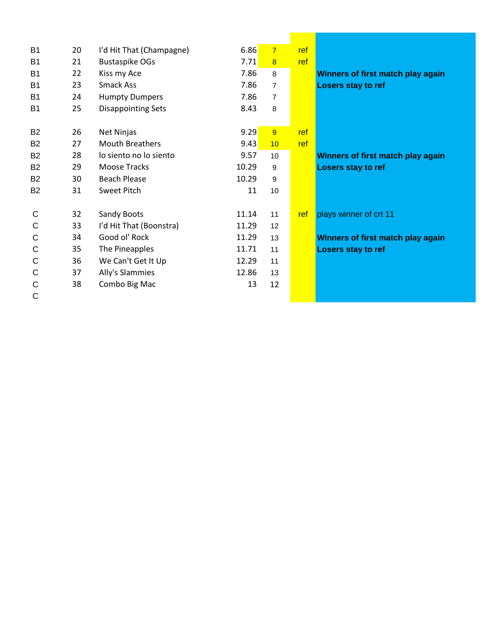| <b>B1</b>      | 20 | I'd Hit That (Champagne)  | 6.86  | $\overline{7}$          | ref |                                   |
|----------------|----|---------------------------|-------|-------------------------|-----|-----------------------------------|
| <b>B1</b>      | 21 | <b>Bustaspike OGs</b>     | 7.71  | $\overline{\mathbf{8}}$ | ref |                                   |
| B <sub>1</sub> | 22 | Kiss my Ace               | 7.86  | 8                       |     | Winners of first match play again |
| <b>B1</b>      | 23 | Smack Ass                 | 7.86  | $\overline{7}$          |     | Losers stay to ref                |
| B <sub>1</sub> | 24 | <b>Humpty Dumpers</b>     | 7.86  | $\overline{7}$          |     |                                   |
| <b>B1</b>      | 25 | <b>Disappointing Sets</b> | 8.43  | 8                       |     |                                   |
|                |    |                           |       |                         |     |                                   |
| <b>B2</b>      | 26 | Net Ninjas                | 9.29  | 9                       | ref |                                   |
| <b>B2</b>      | 27 | <b>Mouth Breathers</b>    | 9.43  | 10                      | ref |                                   |
| <b>B2</b>      | 28 | lo siento no lo siento    | 9.57  | 10                      |     | Winners of first match play again |
| <b>B2</b>      | 29 | Moose Tracks              | 10.29 | 9                       |     | <b>Losers stay to ref</b>         |
| <b>B2</b>      | 30 | <b>Beach Please</b>       | 10.29 | 9                       |     |                                   |
| <b>B2</b>      | 31 | Sweet Pitch               | 11    | 10                      |     |                                   |
|                |    |                           |       |                         |     |                                   |
| C              | 32 | Sandy Boots               | 11.14 | 11                      | ref | plays winner of crt 11            |
| C              | 33 | I'd Hit That (Boonstra)   | 11.29 | 12                      |     |                                   |
| C              | 34 | Good ol' Rock             | 11.29 | 13                      |     | Winners of first match play again |
| С              | 35 | The Pineapples            | 11.71 | 11                      |     | <b>Losers stay to ref</b>         |
| C              | 36 | We Can't Get It Up        | 12.29 | 11                      |     |                                   |
| C              | 37 | Ally's Slammies           | 12.86 | 13                      |     |                                   |
| С              | 38 | Combo Big Mac             | 13    | 12                      |     |                                   |
| C              |    |                           |       |                         |     |                                   |